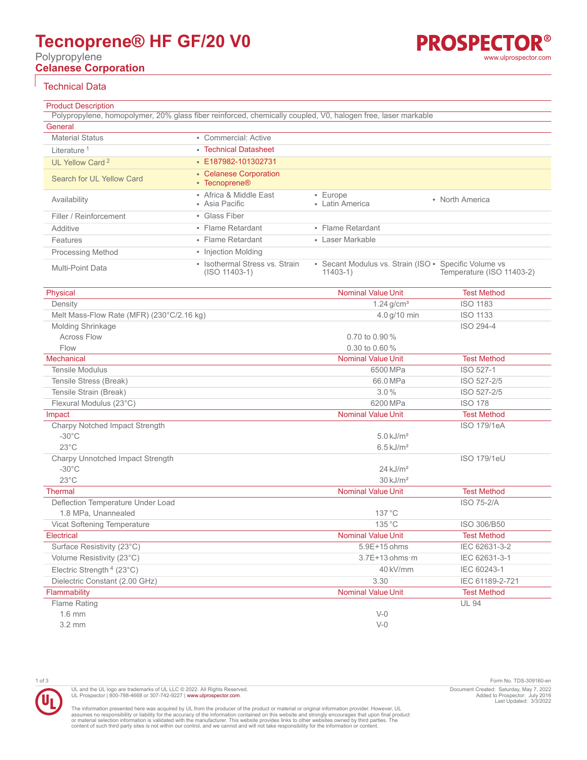# **Tecnoprene® HF GF/20 V0**

Polypropylene **Celanese Corporation**

# Technical Data

Product Description Polypropylene, homopolymer, 20% glass fiber reinforced, chemically coupled, V0, halogen free, laser markable **General** Material Status **• Commercial: Active Literature<sup>1</sup>** • [Technical Datasheet](https://tools.celanese.com/en/products/pdf/si/tecnoprene%c2%ae+hf+gf%2f20+v0-en.pdf) UL Yellow Card<sup>2</sup> • [E187982-101302731](https://materials.ulprospector.com/datasheet/e212977?PS=ULYC&PE=309160) Search for UL Yellow Card • [Celanese Corporation](https://materials.ulprospector.com/search/qm?CASE=ULYC&SS=ULYellowCard&QM=84959:50,90,6531,3115,217,415,3467,430,442,535,565,877,951,3159,3171,1799,2100,2101,2339,2355,2370,3539,3578,5075,5076,6442,2622,2639,2660,3259) • [Tecnoprene®](https://materials.ulprospector.com/search/qm?CASE=ULYC&SS=ULYellowCard&QM=84963:1567,1568,1223,1572) Availability • Africa & Middle East • Asia Pacific • Europe • Latin America • North America Filler / Reinforcement • Glass Fiber Additive • Flame Retardant • Flame Retardant Features • Flame Retardant • Laser Markable Processing Method • Injection Molding Multi-Point Data • Isothermal Stress vs. Strain (ISO 11403-1) • Secant Modulus vs. Strain (ISO • 11403-1) Specific Volume vs Temperature (ISO 11403-2)

| Physical                                  | <b>Nominal Value Unit</b> | <b>Test Method</b> |
|-------------------------------------------|---------------------------|--------------------|
| Density                                   | $1.24$ g/cm <sup>3</sup>  | <b>ISO 1183</b>    |
| Melt Mass-Flow Rate (MFR) (230°C/2.16 kg) | 4.0 g/10 min              | <b>ISO 1133</b>    |
| Molding Shrinkage                         |                           | ISO 294-4          |
| <b>Across Flow</b>                        | 0.70 to 0.90 %            |                    |
| Flow                                      | $0.30$ to $0.60\%$        |                    |
| <b>Mechanical</b>                         | <b>Nominal Value Unit</b> | <b>Test Method</b> |
| <b>Tensile Modulus</b>                    | 6500 MPa                  | ISO 527-1          |
| Tensile Stress (Break)                    | 66.0 MPa                  | ISO 527-2/5        |
| Tensile Strain (Break)                    | 3.0%                      | ISO 527-2/5        |
| Flexural Modulus (23°C)                   | 6200 MPa                  | <b>ISO 178</b>     |
| Impact                                    | <b>Nominal Value Unit</b> | <b>Test Method</b> |
| Charpy Notched Impact Strength            |                           | <b>ISO 179/1eA</b> |
| $-30^{\circ}$ C                           | $5.0$ kJ/m <sup>2</sup>   |                    |
| $23^{\circ}$ C                            | $6.5 \text{ kJ/m}^2$      |                    |
| Charpy Unnotched Impact Strength          |                           | <b>ISO 179/1eU</b> |
| $-30^{\circ}$ C                           | $24$ kJ/m <sup>2</sup>    |                    |
| $23^{\circ}$ C                            | $30 \text{ kJ/m}^2$       |                    |
| <b>Thermal</b>                            | <b>Nominal Value Unit</b> | <b>Test Method</b> |
| Deflection Temperature Under Load         |                           | <b>ISO 75-2/A</b>  |
| 1.8 MPa. Unannealed                       | $137^{\circ}$ C           |                    |
| Vicat Softening Temperature               | 135 °C                    | ISO 306/B50        |
| <b>Flectrical</b>                         | <b>Nominal Value Unit</b> | <b>Test Method</b> |
| Surface Resistivity (23°C)                | $5.9E+15$ ohms            | IEC 62631-3-2      |
| Volume Resistivity (23°C)                 | $3.7E+13$ ohms $\cdot$ m  | IEC 62631-3-1      |
| Electric Strength <sup>4</sup> (23°C)     | 40 kV/mm                  | IEC 60243-1        |
| Dielectric Constant (2.00 GHz)            | 3.30                      | IEC 61189-2-721    |
| Flammability                              | <b>Nominal Value Unit</b> | <b>Test Method</b> |
| Flame Rating                              |                           | <b>UL 94</b>       |
| $1.6$ mm                                  | $V-0$                     |                    |
| $3.2 \text{ mm}$                          | $V-0$                     |                    |

The information presented here was acquired by UL from the producer of the product or material or original information provider. However, UL<br>assumes no responsibility or liability for the accuracy of the information contai

UL and the UL logo are trademarks of UL LLC © 2022. All Rights Reserved. UL Prospector | 800-788-4668 or 307-742-9227 | [www.ulprospector.com](http://www.ulprospector.com).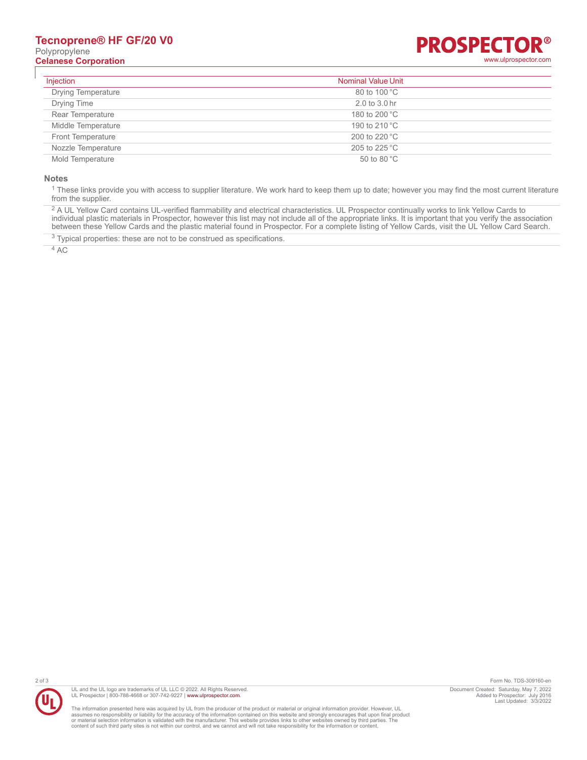## **Tecnoprene® HF GF/20 V0** Polypropylene **Celanese Corporation** [www.ulprospector.com](http://www.ulprospector.com)



| Injection                 | <b>Nominal Value Unit</b> |  |
|---------------------------|---------------------------|--|
| <b>Drying Temperature</b> | 80 to 100 °C              |  |
| Drying Time               | 2.0 to 3.0 hr             |  |
| Rear Temperature          | 180 to 200 °C             |  |
| Middle Temperature        | 190 to 210 °C             |  |
| <b>Front Temperature</b>  | 200 to 220 °C             |  |
| Nozzle Temperature        | 205 to 225 °C             |  |
| Mold Temperature          | 50 to 80 $^{\circ}$ C     |  |

#### **Notes**

 $^1$  These links provide you with access to supplier literature. We work hard to keep them up to date; however you may find the most current literature from the supplier.

<sup>2</sup> A UL Yellow Card contains UL-verified flammability and electrical characteristics. UL Prospector continually works to link Yellow Cards to individual plastic materials in Prospector, however this list may not include all of the appropriate links. It is important that you verify the association between these Yellow Cards and the plastic material found in Prospector. For a complete listing of Yellow Cards, visit the UL Yellow Card Search.

 $3$  Typical properties: these are not to be construed as specifications.

4 AC



UL and the UL logo are trademarks of UL LLC © 2022. All Rights Reserved. UL Prospector | 800-788-4668 or 307-742-9227 | [www.ulprospector.com](http://www.ulprospector.com).

The information presented here was acquired by UL from the producer of the product or material or original information provider. However, UL<br>assumes no responsibility or liability for the accuracy of the information contai

2 of 3 Form No. TDS-309160-en Document Created: Saturday, May 7, 2022 Added to Prospector: July 2016 Last Updated: 3/3/2022